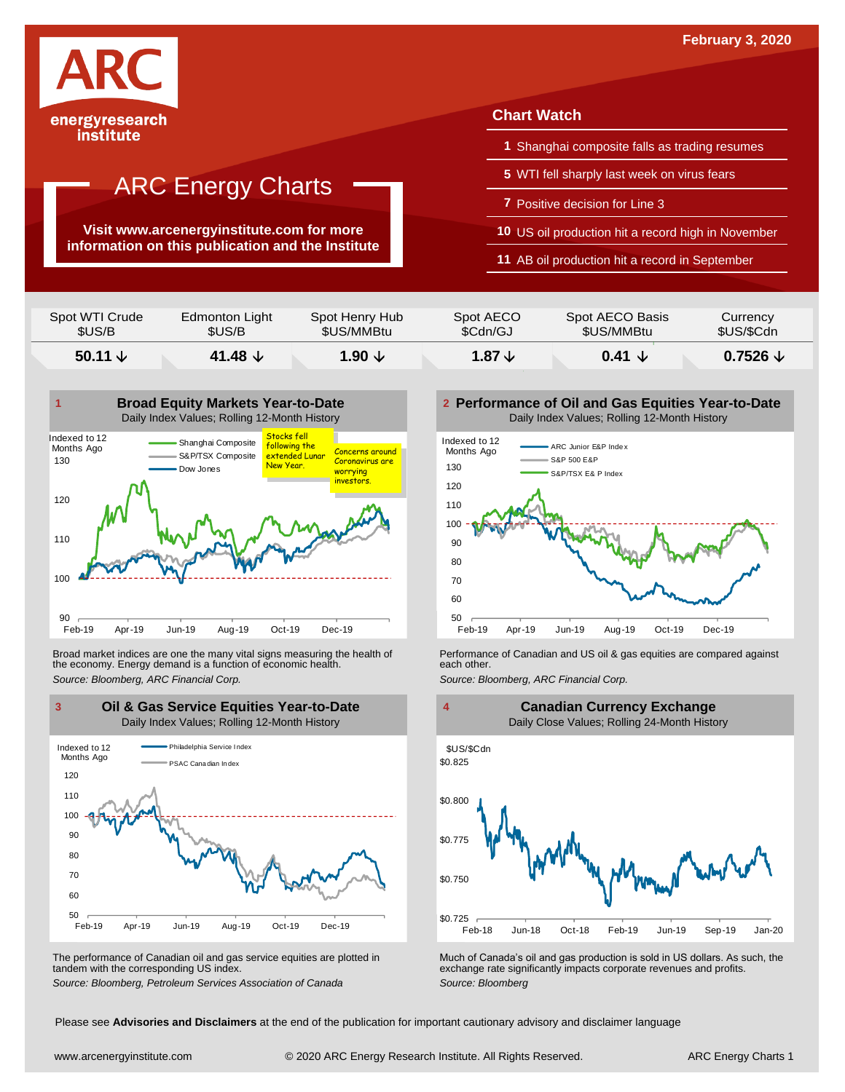

#### institute

## ARC Energy Charts

**Visit www.arcenergyinstitute.com for more information on this publication and the Institute**

#### **Chart Watch**

- **1** Shanghai composite falls as trading resumes
- **5** WTI fell sharply last week on virus fears
- **7** Positive decision for Line 3
- **10** US oil production hit a record high in November
- **11** AB oil production hit a record in September

| Spot WTI Crude   | Edmonton Light     | Spot Henry Hub    | Spot AECO         | Spot AECO Basis      | Currency   |
|------------------|--------------------|-------------------|-------------------|----------------------|------------|
| \$US/B           | \$US/B             | \$US/MMBtu        | \$Cdn/GJ          | \$US/MMBtu           | \$US/\$Cdn |
| 50.11 $\sqrt{ }$ | 41.48 $\downarrow$ | $1.90 \downarrow$ | $1.87 \downarrow$ | $0.41 \; \downarrow$ |            |



Broad market indices are one the many vital signs measuring the health of **Performance of Canadian and US oil &** gas equities are compared against the economy. Energy demand is a function of economic health. **The exact oth** the economy. Energy demand is a function of economic health.



The performance of Canadian oil and gas service equities are plotted in tandem with the corresponding US index.

**Performance of Oil and Gas Equities Year-to-Date** Daily Index Values; Rolling 12-Month History





The performance of Canadian oil and gas service equities are plotted in Much of Canada's oil and gas production is sold in US dollars. As such, the exchange rate significantly impacts corporate revenues and profits.<br>Source

Please see **Advisories and Disclaimers** at the end of the publication for important cautionary advisory and disclaimer language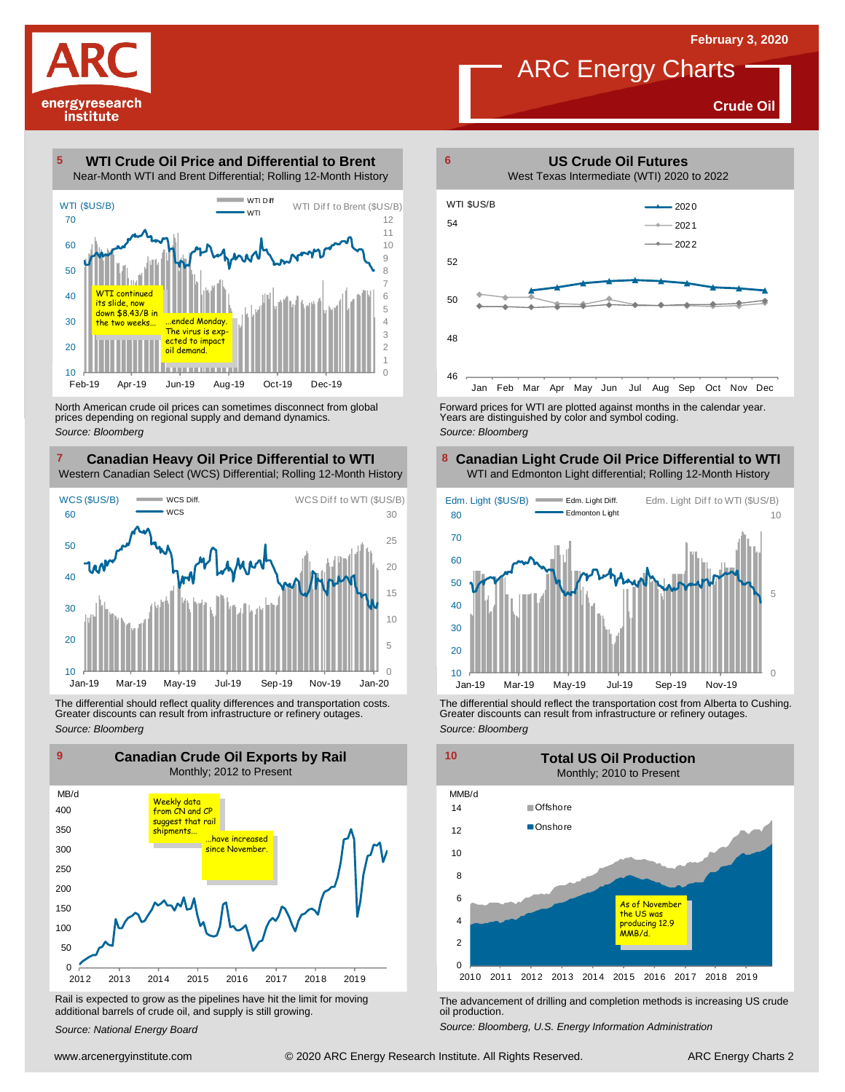**US Crude Oil Futures**

**6**

**Crude Oil**



#### **WTI Crude Oil Price and Differential to Brent** Near-Month WTI and Brent Differential; Rolling 12-Month History **5**



North American crude oil prices can sometimes disconnect from global prices depending on regional supply and demand dynamics. *Source: Bloomberg*

#### **Canadian Heavy Oil Price Differential to WTI 7 8** Western Canadian Select (WCS) Differential; Rolling 12-Month History



The differential should reflect quality differences and transportation costs. Greater discounts can result from infrastructure or refinery outages. *Source: Bloomberg*



Rail is expected to grow as the pipelines have hit the limit for moving additional barrels of crude oil, and supply is still growing.

*Source: National Energy Board*



Forward prices for WTI are plotted against months in the calendar year. Years are distinguished by color and symbol coding. *Source: Bloomberg*

#### **Canadian Light Crude Oil Price Differential to WTI** WTI and Edmonton Light differential; Rolling 12-Month History



The differential should reflect the transportation cost from Alberta to Cushing. Greater discounts can result from infrastructure or refinery outages. *Source: Bloomberg*



The advancement of drilling and completion methods is increasing US crude oil production.

*Source: Bloomberg, U.S. Energy Information Administration*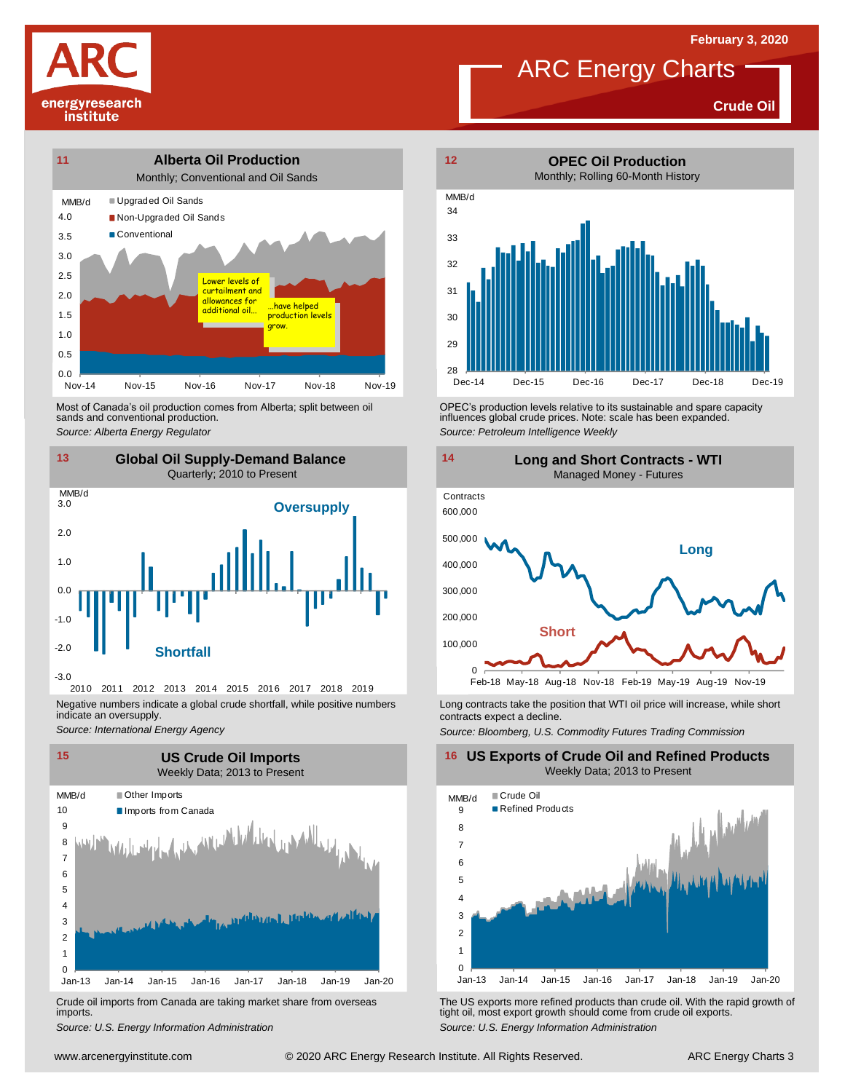**Crude Oil**





Most of Canada's oil production comes from Alberta; split between oil sands and conventional production.



2010 2011 2012 2013 2014 2015 2016 2017 2018 2019 Negative numbers indicate a global crude shortfall, while positive numbers indicate an oversupply.

*Source: International Energy Agency*



Crude oil imports from Canada are taking market share from overseas imports.



Most of Canada's oil production comes from Alberta; split between oil **of the COV of COV** of PEC's production levels relative to its sustainable and spare capacity<br>1991 - sands and conventional production.<br>1991 - Source: P *Source: Petroleum Intelligence Weekly*



Long contracts take the position that WTI oil price will increase, while short contracts expect a decline.

*Source: Bloomberg, U.S. Commodity Futures Trading Commission*

#### **16 US Exports of Crude Oil and Refined Products** Weekly Data; 2013 to Present



Um-13 Jan-14 Jan-15 Jan-16 Jan-17 Jan-18 Jan-19 Jan-19 Jan-20<br>
Crude oil imports from Canada are taking market share from overseas<br>
Source: U.S. Energy Information Administration<br>
Source: U.S. Energy Information Administra *S*rude oil imports from Canada are taking market share from overseas<br>
imports.<br>
Source: U.S. Energy Information *Administration*<br>
Source: U.S. Energy Information *Administration*<br>
Source: U.S. Energy Information Administr tight oil, most export growth should come from crude oil exports. *Source: U.S. Energy Information Administration*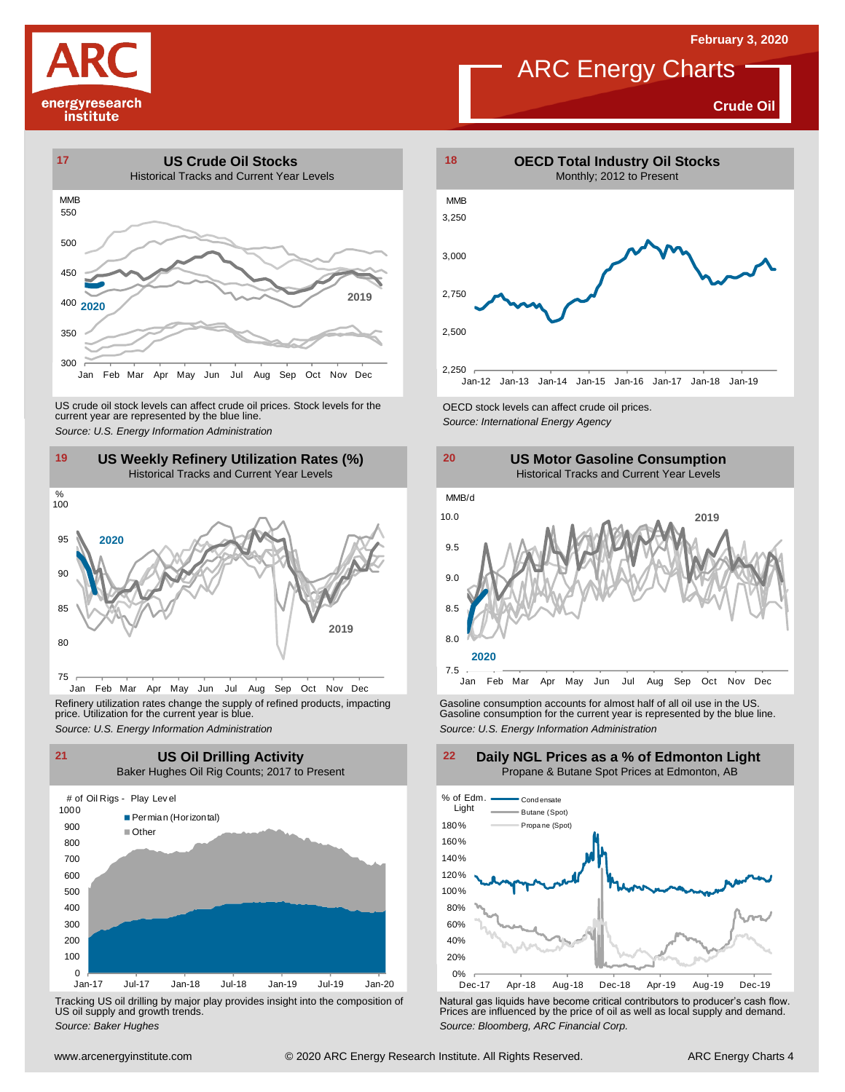# energyresearch institute

## ARC Energy Charts

**Crude Oil**





Jan Feb Mar Apr May Jun Jul Aug Sep Oct Nov Dec Refinery utilization rates change the supply of refined products, impacting price. Utilization for the current year is blue.



Tracking US oil drilling by major play provides insight into the composition of US oil supply and growth trends.





Refinery utilization rates change the supply of refined products, impacting<br>
price. Utilization for the current year is blue.<br>
Source: U.S. Energy Information Administration<br>
Source: U.S. Energy Information Administration<br>



Using US of US of the US of the US of the US of the US of the US of the US of the US of the US of the US of the US of the US of the US of the US of the US of the US of the US of the US of the US of the US of the US of the Tracking US oil drilling by major play provides insight into the composition of<br>US oil supply and growth trends.<br>Source: Baker Hughes<br>Source: Baker Hughes

### **Daily NGL Prices as a % of Edmonton Light** Propane & Butane Spot Prices at Edmonton, AB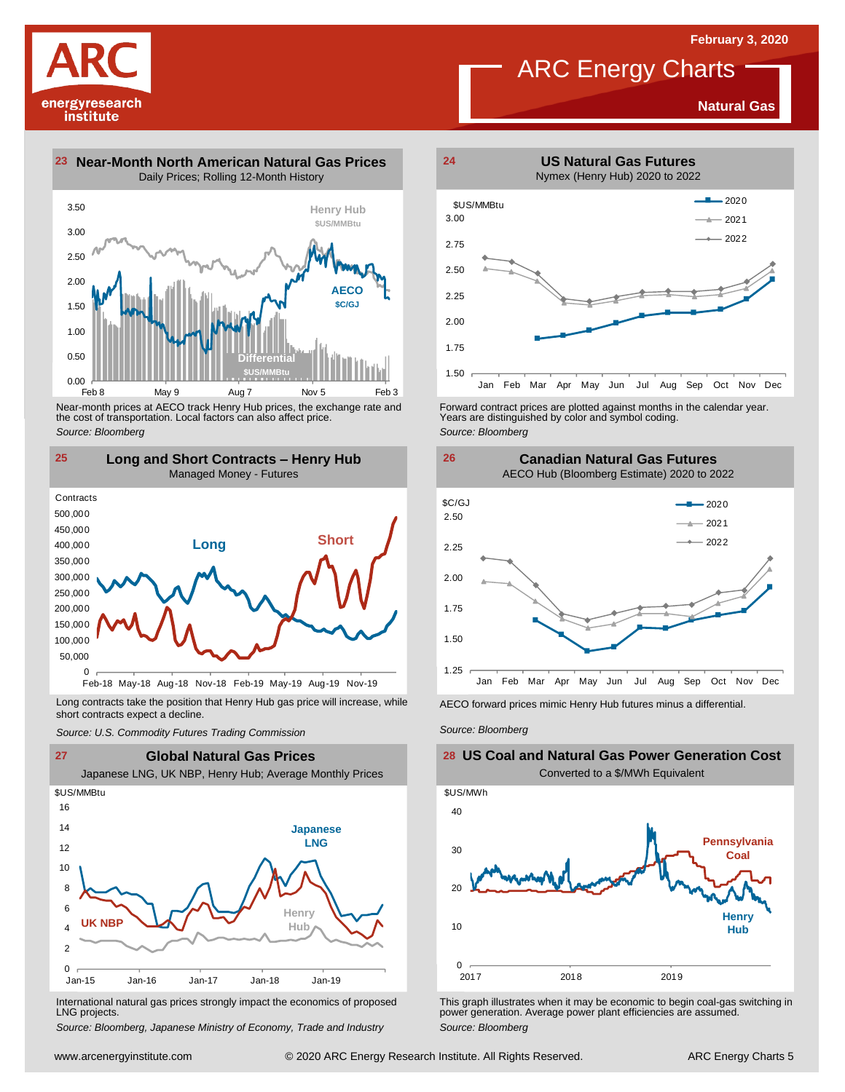**Natural Gas**

energyresearch institute

**23 Near-Month North American Natural Gas Prices 24** Daily Prices; Rolling 12-Month History



Near-month prices at AECO track Henry Hub prices, the exchange rate and the cost of transportation. Local factors can also affect price. *Source: Bloomberg*



Long contracts take the position that Henry Hub gas price will increase, while short contracts expect a decline. *Source: U.S. Commodity Futures Trading Commission* AECO forward prices mimic Henry Hub futures minus <sup>a</sup> differential. *Source: Bloomberg*



International natural gas prices strongly impact the economics of proposed LNG projects.

*Source: Bloomberg, Japanese Ministry of Economy, Trade and Industry*



Forward contract prices are plotted against months in the calendar year.<br>Years are distinguished by color and symbol coding. *Source: Bloomberg*



**26**

### **US Coal and Natural Gas Power Generation Cost** Converted to a \$/MWh Equivalent



This graph illustrates when it may be economic to begin coal-gas switching in power generation. Average power plant efficiencies are assumed. *Source: Bloomberg*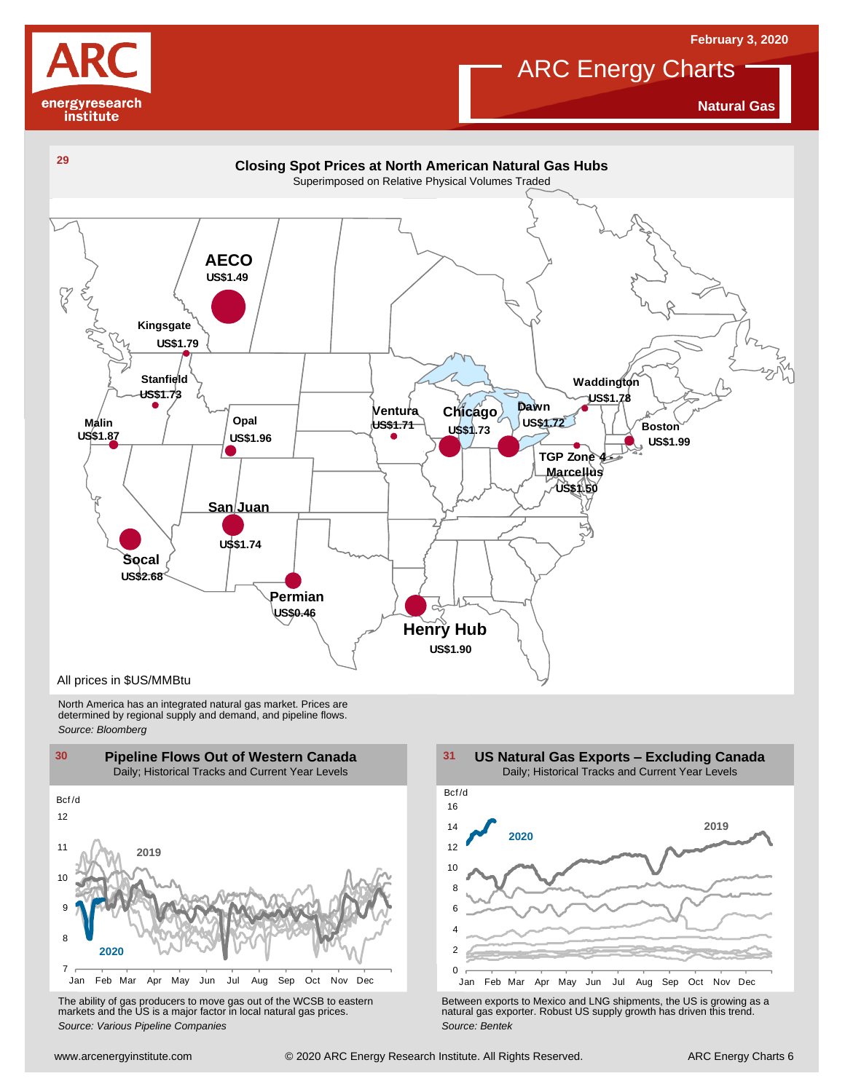

**Natural Gas**

**February 3, 2020**



North America has an integrated natural gas market. Prices are determined by regional supply and demand, and pipeline flows. *Source: Bloomberg*



10 12  $14$ 16 Bcf /d **US Natural Gas Exports – Excluding Canada** Daily; Historical Tracks and Current Year Levels **2019 2020**



Van Feb Mar Apr May Jun Jul Aug Sep Oct Nov Dec<br>
The ability of gas producers to move gas out of the WCSB to eastern<br>
markets and the US is a major factor in local natural gas prices.<br>
Source: Various Pipeline Companies<br>
S The ability of gas producers to move gas out of the WCSB to eastern<br>The Between exports to Mexico and LNG shipments, the US is growing as a<br>Source: Various Pipeline Companies and actural gas prices.<br>Source: Bentek Source: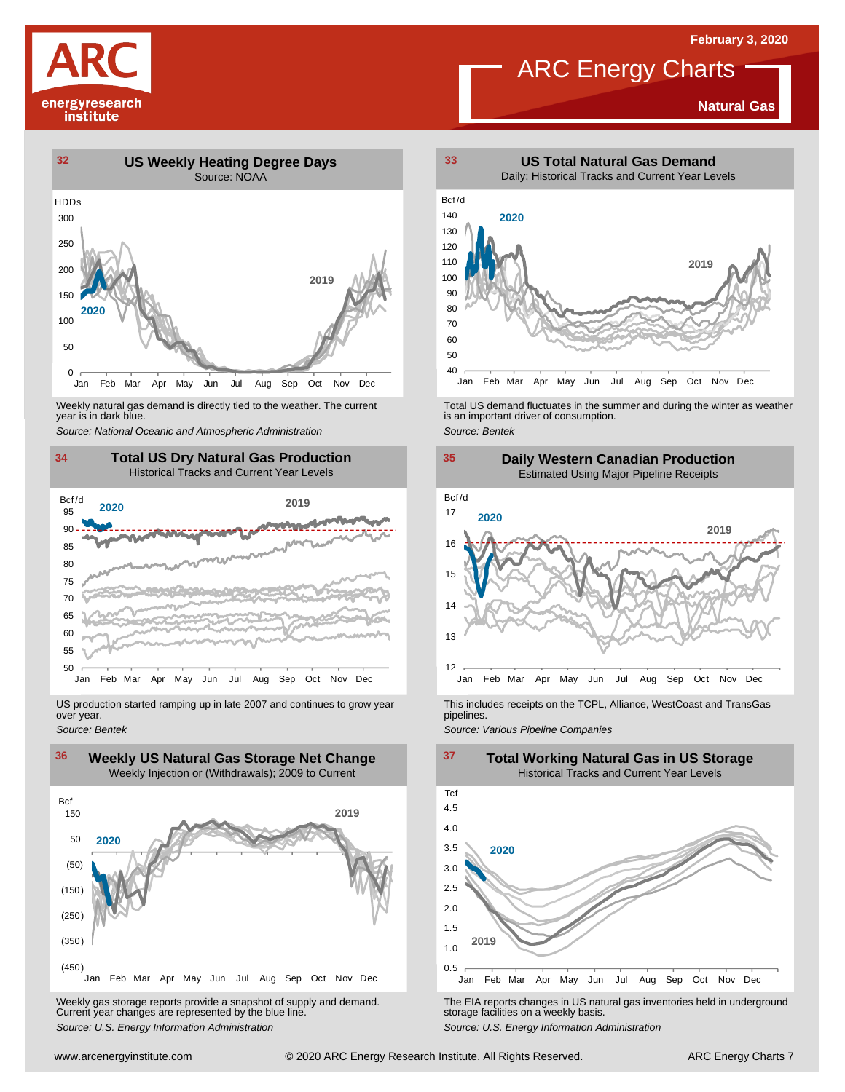

#### **Natural Gas**



Weekly natural gas demand is directly tied to the weather. The current year is in dark blue.



US production started ramping up in late 2007 and continues to grow year over year. *Source: Bentek*



Weekly gas storage reports provide <sup>a</sup> snapshot of supply and demand. Current year changes are represented by the blue line. Weekly gas storage reports provide a snapshot of supply and demand.<br>
The EIA reports changes in US natural gas inventories held in underground<br>
Source: U.S. Energy Information Administration<br>
Source: U.S. Energy Informatio



Weekly natural gas demand is directly tied to the weather. The current<br>year is in dark blue.<br>Source: National Oceanic and Atmospheric Administration<br>Source: Bentek<br>Source: Bentek



This includes receipts on the TCPL, Alliance, WestCoast and TransGas pipelines.

*Source: Various Pipeline Companies*

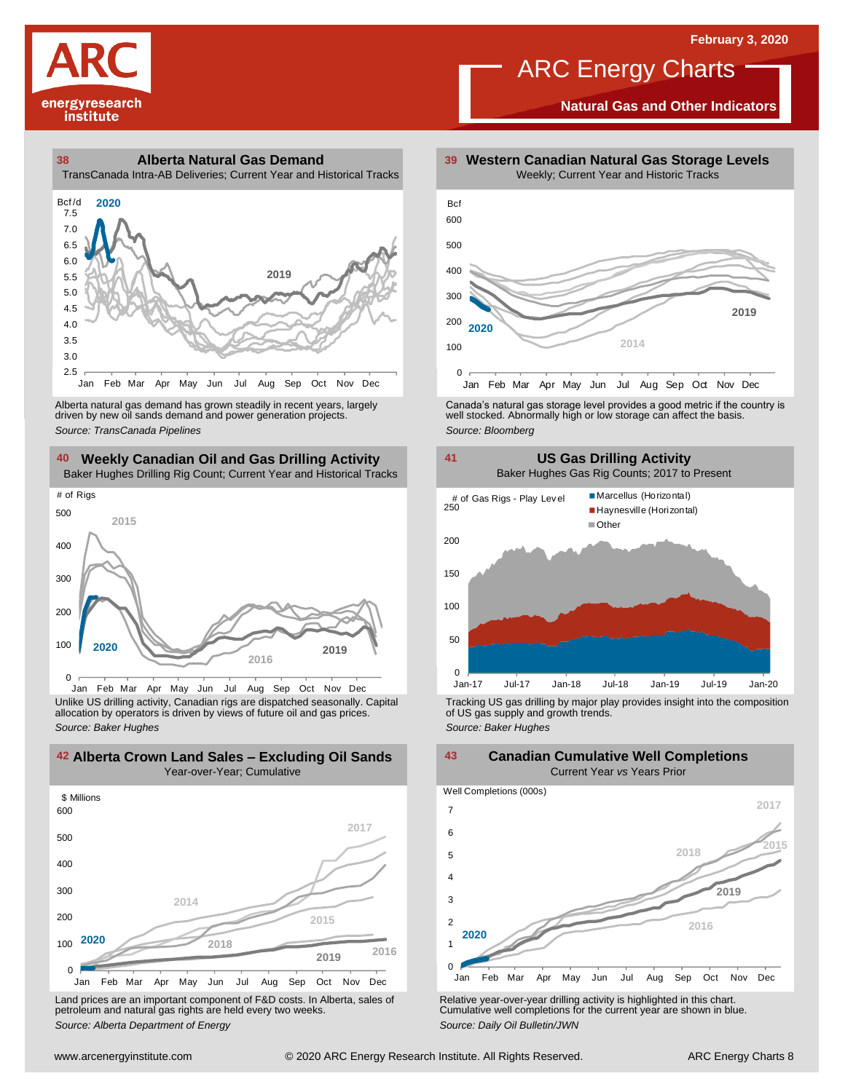

**Natural Gas and Other Indicators**

**38 39 Alberta Natural Gas Demand** TransCanada Intra-AB Deliveries; Current Year and Historical Tracks



driven by new oil sands demand and power generation projects.

#### **40 41 Weekly Canadian Oil and Gas Drilling Activity**

Baker Hughes Drilling Rig Count; Current Year and Historical Tracks



Jan Feb Mar Apr May Jun Jul Aug Sep Oct Nov Dec Unlike US drilling activity, Canadian rigs are dispatched seasonally. Capital Tracking US gas drilling by major play provides insight into the composition<br>allocation by operators is driven by views of future oil and gas pr

**42 43 Alberta Crown Land Sales – Excluding Oil Sands**



Land prices are an important component of F&D costs. In Alberta, sales of petroleum and natural gas rights are held every two weeks. *Source: Alberta Department of Energy*



Alberta natural gas demand has grown steadily in recent years, largely **canada's natural gas storage level provid**es a good metric if the country is driven by new oil sands demand and power generation projects.<br>And the sto



**Canadian Cumulative Well Completions**

**2015 2019**  $\Omega$ 1 2 3 4 5 6 7 Jan Feb Mar Apr May Jun Jul Aug Sep Oct Nov Dec Well Completions (000s) **2018** Current Year *vs* Years Prior **2016 2020 2017**

Relative year-over-year drilling activity is highlighted in this chart. Cumulative well completions for the current year are shown in blue. *Source: Daily Oil Bulletin/JWN*